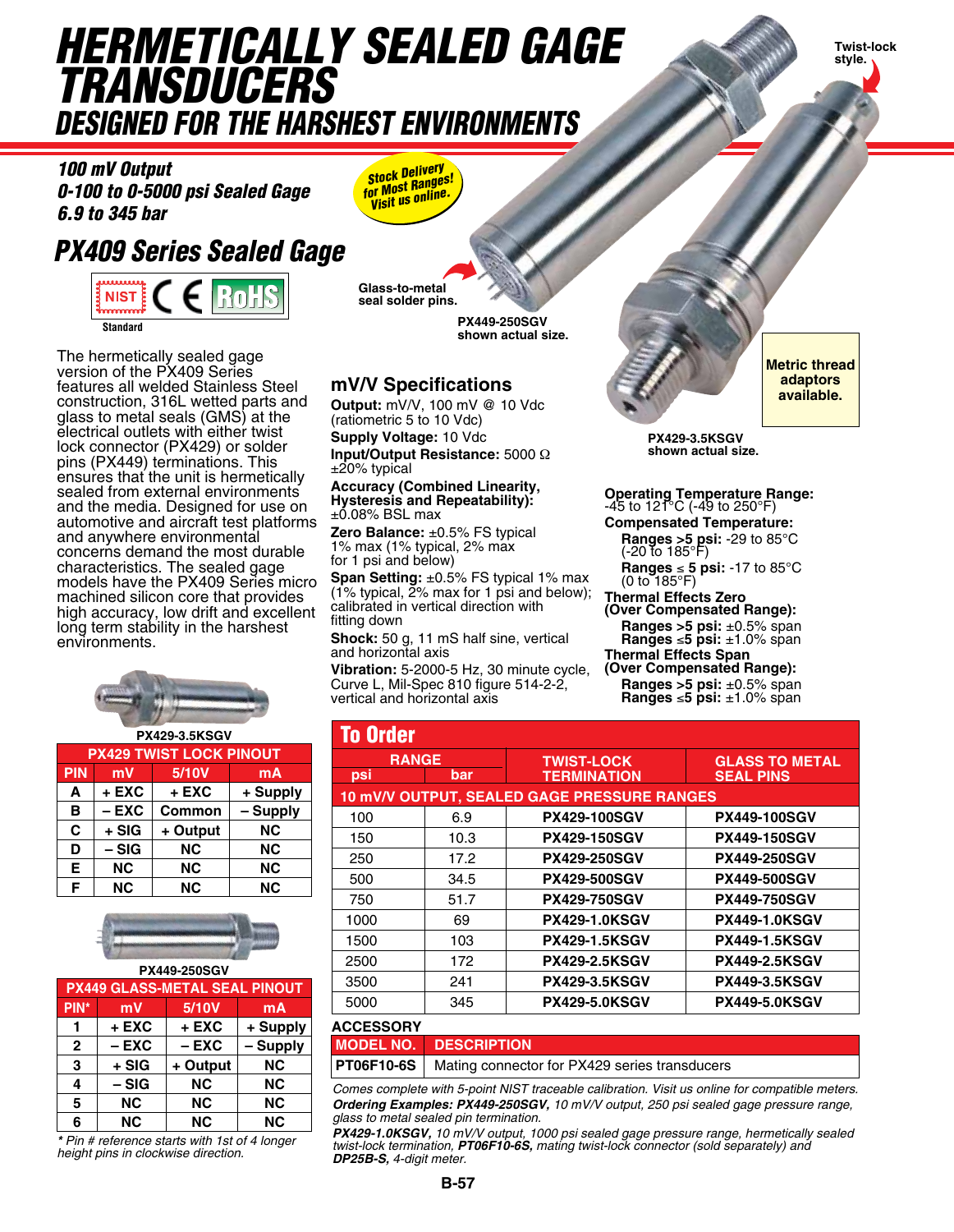# *Hermetically Sealed Gage TRANSDUCERS Designed for the Harshest Environments*

**Twist-lock style.** 

*100 mV Output 0-100 to 0-5000 psi Sealed Gage 6.9 to 345 bar*

# *PX409 Series Sealed Gage*

**Rol NIST** na ananan **Standard**

The hermetically sealed gage version of the PX409 Series features all welded Stainless Steel construction, 316L wetted parts and glass to metal seals (GMS) at the electrical outlets with either twist lock connector (PX429) or solder pins (PX449) terminations. This ensures that the unit is hermetically sealed from external environments and the media. Designed for use on automotive and aircraft test platforms and anywhere environmental concerns demand the most durable characteristics. The sealed gage models have the PX409 Series micro machined silicon core that provides high accuracy, low drift and excellent long term stability in the harshest environments.



| <b>PX429-3.5KSGV</b>            |                                |           |           |  |  |
|---------------------------------|--------------------------------|-----------|-----------|--|--|
|                                 | <b>PX429 TWIST LOCK PINOUT</b> |           |           |  |  |
| 5/10V<br><b>PIN</b><br>mV<br>mA |                                |           |           |  |  |
| A                               | $+$ EXC                        | $+$ EXC   | + Supply  |  |  |
| B                               | $-$ EXC                        | Common    | - Supply  |  |  |
| C                               | $+ SIG$                        | + Output  | <b>NC</b> |  |  |
| D                               | – SIG                          | <b>NC</b> | <b>NC</b> |  |  |
| Е                               | <b>NC</b>                      | <b>NC</b> | <b>NC</b> |  |  |
| F                               | <b>NC</b>                      | <b>NC</b> | <b>NC</b> |  |  |



| <b>PX449-250SGV</b> |                                      |           |           |  |  |  |
|---------------------|--------------------------------------|-----------|-----------|--|--|--|
|                     | <b>PX449 GLASS-METAL SEAL PINOUT</b> |           |           |  |  |  |
| PIN*                | mV                                   | 5/10V     | mA        |  |  |  |
|                     | $+$ EXC                              | + EXC     | + Supply  |  |  |  |
| $\mathbf{2}$        | $-$ EXC                              | $-$ EXC   | - Supply  |  |  |  |
| 3                   | + SIG                                | + Output  | <b>NC</b> |  |  |  |
| 4                   | – SIG                                | <b>NC</b> | <b>NC</b> |  |  |  |
| 5                   | <b>NC</b>                            | <b>NC</b> | <b>NC</b> |  |  |  |
| 6                   | <b>NC</b>                            | <b>NC</b> | <b>NC</b> |  |  |  |

*\* Pin # reference starts with 1st of 4 longer height pins in clockwise direction.*

*Stock Delivery for Most Ranges! Visit us online.*

**Glass-to-metal seal solder pins.**

> **PX449-250SGV shown actual size.**

## **mV/V Specifications**

**Output:** mV/V, 100 mV @ 10 Vdc (ratiometric 5 to 10 Vdc)

**Supply Voltage:** 10 Vdc **Input/Output Resistance:** 5000 Ω ±20% typical

#### **Accuracy (Combined Linearity, Hysteresis and Repeatability):** ±0.08% BSL max

**Zero Balance:** ±0.5% FS typical 1% max (1% typical, 2% max for 1 psi and below)

**Span Setting:** ±0.5% FS typical 1% max (1% typical, 2% max for 1 psi and below); calibrated in vertical direction with fitting down

**Shock:** 50 g, 11 mS half sine, vertical and horizontal axis

**Vibration:** 5-2000-5 Hz, 30 minute cycle, Curve L, Mil-Spec 810 figure 514-2-2, vertical and horizontal axis



**Metric thread adaptors available.**

**PX429-3.5KSGV shown actual size.**

**Operating Temperature Range:** -45 to 121°C (-49 to 250°F)

**Compensated Temperature: Ranges >5 psi:** -29 to 85°C (-20 to 185°F)

**Ranges** ≤ **5 psi:** -17 to 85°C (0 to 185°F)

**Thermal Effects Zero (Over Compensated Range):**

**Ranges >5 psi:** ±0.5% span **Ranges** ≤**5 psi:** ±1.0% span **Thermal Effects Span**

**(Over Compensated Range):**

**Ranges >5 psi:** ±0.5% span **Ranges** ≤**5 psi:** ±1.0% span

| <b>To Order</b>            |      |                                             |                                           |  |
|----------------------------|------|---------------------------------------------|-------------------------------------------|--|
| <b>RANGE</b><br>bar<br>psi |      | <b>TWIST-LOCK</b><br><b>TERMINATION</b>     | <b>GLASS TO METAL</b><br><b>SEAL PINS</b> |  |
|                            |      | 10 mV/V OUTPUT, SEALED GAGE PRESSURE RANGES |                                           |  |
| 100                        | 6.9  | <b>PX429-100SGV</b>                         | <b>PX449-100SGV</b>                       |  |
| 150                        | 10.3 | <b>PX429-150SGV</b>                         | <b>PX449-150SGV</b>                       |  |
| 250                        | 17.2 | <b>PX429-250SGV</b>                         | <b>PX449-250SGV</b>                       |  |
| 500                        | 34.5 | <b>PX429-500SGV</b>                         | <b>PX449-500SGV</b>                       |  |
| 750                        | 51.7 | <b>PX429-750SGV</b>                         | <b>PX449-750SGV</b>                       |  |
| 1000                       | 69   | <b>PX429-1.0KSGV</b>                        | <b>PX449-1.0KSGV</b>                      |  |
| 1500                       | 103  | <b>PX429-1.5KSGV</b>                        | <b>PX449-1.5KSGV</b>                      |  |
| 2500                       | 172  | <b>PX429-2.5KSGV</b>                        | <b>PX449-2.5KSGV</b>                      |  |
| 3500                       | 241  | <b>PX429-3.5KSGV</b>                        | <b>PX449-3.5KSGV</b>                      |  |
| 5000                       | 345  | <b>PX429-5.0KSGV</b>                        | <b>PX449-5.0KSGV</b>                      |  |
| $\cdots$                   |      |                                             |                                           |  |

#### **Accessory MODEL NO. DESCRIPTION PT06F10-6S** Mating connector for PX429 series transducers

*Comes complete with 5-point NIST traceable calibration. Visit us online for compatible meters. Ordering Examples: PX449-250SGV, 10 mV/V output, 250 psi sealed gage pressure range, glass to metal sealed pin termination.*

*PX429-1.0KSGV, 10 mV/V output, 1000 psi sealed gage pressure range, hermetically sealed twist-lock termination, PT06F10-6S, mating twist-lock connector (sold separately) and DP25B-S, 4-digit meter.*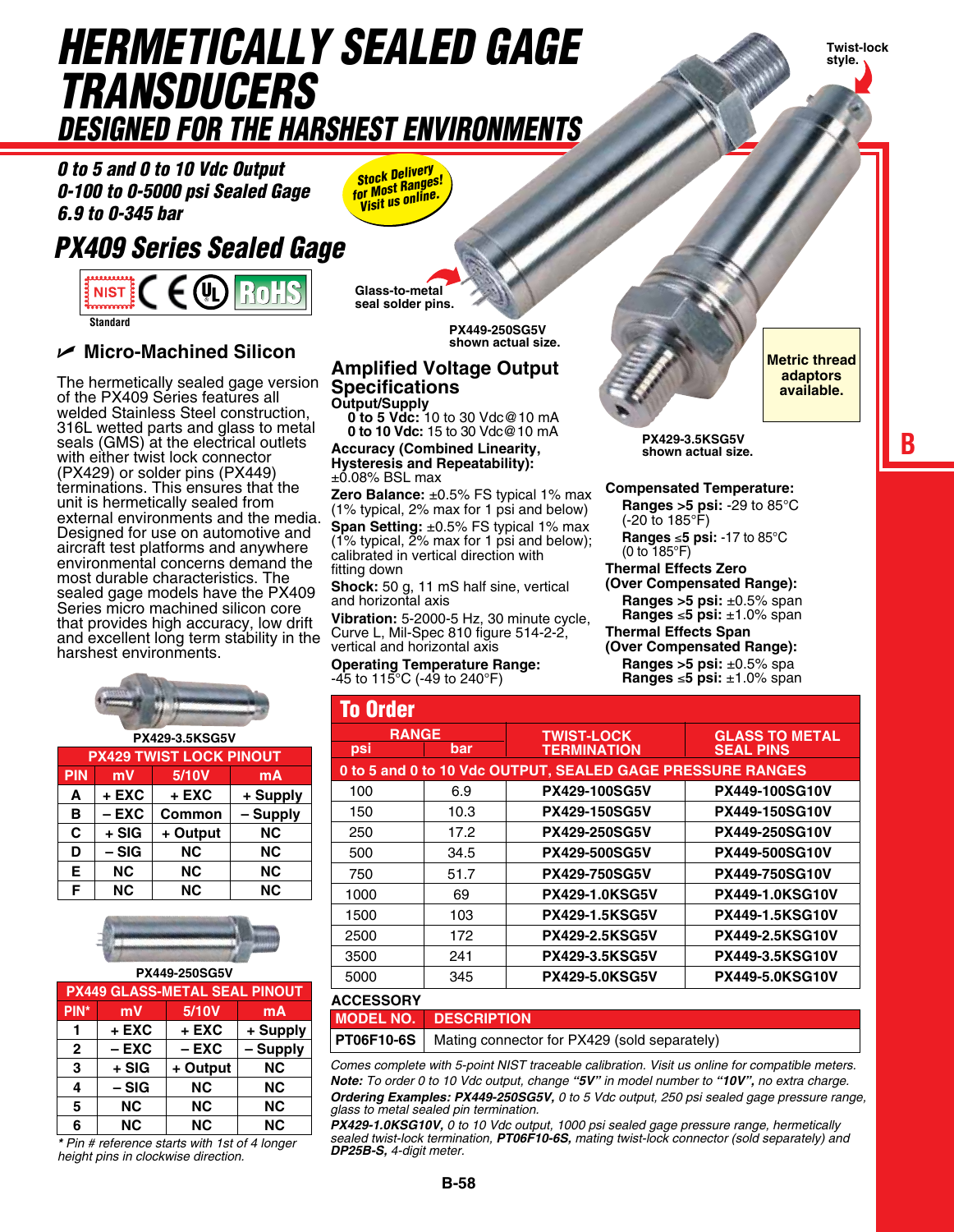# *Hermetically Sealed Gage TRANSDUCERS Designed for the Harshest Environments*

*0 to 5 and 0 to 10 Vdc Output 0-100 to 0-5000 psi Sealed Gage 6.9 to 0-345 bar*

# *PX409 Series Sealed Gage*

 $\epsilon$  (UL) **NIST E Standard**

## U **Micro-Machined Silicon**

The hermetically sealed gage version of the PX409 Series features all welded Stainless Steel construction, 316L wetted parts and glass to metal seals (GMS) at the electrical outlets with either twist lock connector (PX429) or solder pins (PX449) terminations. This ensures that the unit is hermetically sealed from external environments and the media. Designed for use on automotive and aircraft test platforms and anywhere environmental concerns demand the most durable characteristics. The sealed gage models have the PX409 Series micro machined silicon core that provides high accuracy, low drift and excellent long term stability in the harshest environments.



| <b>PX429 TWIST LOCK PINOUT</b> |           |           |           |
|--------------------------------|-----------|-----------|-----------|
| <b>PIN</b>                     | mV        | 5/10V     | mA        |
| A                              | + EXC     | + EXC     | + Supply  |
| B                              | $-$ EXC   | Common    | - Supply  |
| C                              | + SIG     | + Output  | <b>NC</b> |
| D                              | $-SIG$    | <b>NC</b> | <b>NC</b> |
| E                              | <b>NC</b> | <b>NC</b> | <b>NC</b> |
| F                              | <b>NC</b> | <b>NC</b> | <b>NC</b> |



| <b>PX449-250SG5V</b> |                                      |           |           |  |  |  |
|----------------------|--------------------------------------|-----------|-----------|--|--|--|
|                      | <b>PX449 GLASS-METAL SEAL PINOUT</b> |           |           |  |  |  |
| PIN*                 | mV                                   | 5/10V     | mA        |  |  |  |
|                      | $+$ EXC                              | + EXC     | + Supply  |  |  |  |
| $\overline{2}$       | $-$ EXC                              | $-$ EXC   | - Supply  |  |  |  |
| 3                    | $+ SIG$                              | + Output  | <b>NC</b> |  |  |  |
| 4                    | – SIG                                | <b>NC</b> | <b>NC</b> |  |  |  |
| 5                    | <b>NC</b>                            | <b>NC</b> | <b>NC</b> |  |  |  |
| 6                    | <b>NC</b>                            | <b>NC</b> | <b>NC</b> |  |  |  |

*\* Pin # reference starts with 1st of 4 longer height pins in clockwise direction.*

*Stock Delivery for Most Ranges! Visit us online.*

**Glass-to-metal seal solder pins.**

> **PX449-250SG5V shown actual size.**

#### **Amplified Voltage Output Specifications Output/Supply**

**0 to 5 Vdc:** 10 to 30 Vdc@10 mA **0 to 10 Vdc:** 15 to 30 Vdc@10 mA

**Accuracy (Combined Linearity, Hysteresis and Repeatability):** ±0.08% BSL max

**Zero Balance:** ±0.5% FS typical 1% max (1% typical, 2% max for 1 psi and below) **Span Setting:** ±0.5% FS typical 1% max (1% typical,  $\overline{2}$ % max for 1 psi and below); calibrated in vertical direction with fitting down

**Shock:** 50 g, 11 mS half sine, vertical and horizontal axis

**Vibration:** 5-2000-5 Hz, 30 minute cycle, Curve L, Mil-Spec 810 figure 514-2-2, vertical and horizontal axis

**Operating Temperature Range:**  $-45$  to  $115^{\circ}$ C ( $-49$  to  $240^{\circ}$ F)



**Metric thread adaptors available.**

**Twist-lock style.** 

**B**

**PX429-3.5KSG5V shown actual size.**

**Compensated Temperature: Ranges >5 psi:** -29 to 85°C

(-20 to 185°F) **Ranges** ≤**5 psi:** -17 to 85°C (0 to 185°F)

**Thermal Effects Zero**

**(Over Compensated Range): Ranges >5 psi:** ±0.5% span **Ranges** ≤**5 psi:** ±1.0% span

**Thermal Effects Span**

#### **(Over Compensated Range): Ranges >5 psi:** ±0.5% spa

**Ranges** ≤**5 psi:** ±1.0% span

| <b>To Order</b> |      |                                                            |                        |
|-----------------|------|------------------------------------------------------------|------------------------|
| <b>RANGE</b>    |      | <b>TWIST-LOCK</b>                                          | <b>GLASS TO METAL</b>  |
| psi             | bar  | <b>TERMINATION</b>                                         | <b>SEAL PINS</b>       |
|                 |      | 0 to 5 and 0 to 10 Vdc OUTPUT, SEALED GAGE PRESSURE RANGES |                        |
| 100             | 6.9  | <b>PX429-100SG5V</b>                                       | <b>PX449-100SG10V</b>  |
| 150             | 10.3 | <b>PX429-150SG5V</b>                                       | <b>PX449-150SG10V</b>  |
| 250             | 17.2 | <b>PX429-250SG5V</b>                                       | <b>PX449-250SG10V</b>  |
| 500             | 34.5 | <b>PX429-500SG5V</b>                                       | <b>PX449-500SG10V</b>  |
| 750             | 51.7 | <b>PX429-750SG5V</b>                                       | <b>PX449-750SG10V</b>  |
| 1000            | 69   | <b>PX429-1.0KSG5V</b>                                      | <b>PX449-1.0KSG10V</b> |
| 1500            | 103  | <b>PX429-1.5KSG5V</b>                                      | <b>PX449-1.5KSG10V</b> |
| 2500            | 172  | <b>PX429-2.5KSG5V</b>                                      | <b>PX449-2.5KSG10V</b> |
| 3500            | 241  | <b>PX429-3.5KSG5V</b>                                      | <b>PX449-3.5KSG10V</b> |
| 5000            | 345  | <b>PX429-5.0KSG5V</b>                                      | <b>PX449-5.0KSG10V</b> |

| <b>ACCESSORY</b> |                                                                |
|------------------|----------------------------------------------------------------|
|                  | <b>MODEL NO. DESCRIPTION</b>                                   |
|                  | <b>PT06F10-6S</b> Mating connector for PX429 (sold separately) |

*Comes complete with 5-point NIST traceable calibration. Visit us online for compatible meters. Note: To order 0 to 10 Vdc output, change "5V" in model number to "10V", no extra charge. Ordering Examples: PX449-250SG5V, 0 to 5 Vdc output, 250 psi sealed gage pressure range, glass to metal sealed pin termination.*

*PX429-1.0KSG10V, 0 to 10 Vdc output, 1000 psi sealed gage pressure range, hermetically sealed twist-lock termination, PT06F10-6S, mating twist-lock connector (sold separately) and DP25B-S, 4-digit meter.*

**B-58**